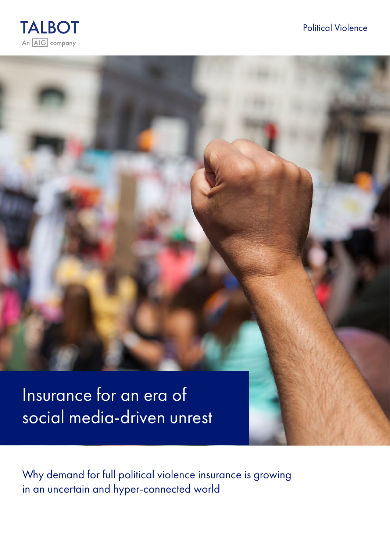



Insurance for an era of social media-driven unrest

Why demand for full political violence insurance is growing in an uncertain and hyper-connected world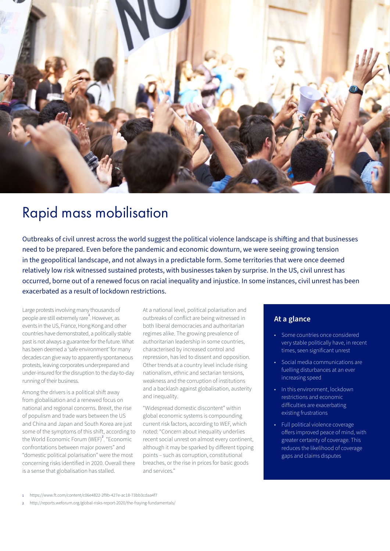

# Rapid mass mobilisation

Outbreaks of civil unrest across the world suggest the political violence landscape is shifting and that businesses need to be prepared. Even before the pandemic and economic downturn, we were seeing growing tension in the geopolitical landscape, and not always in a predictable form. Some territories that were once deemed relatively low risk witnessed sustained protests, with businesses taken by surprise. In the US, civil unrest has occurred, borne out of a renewed focus on racial inequality and injustice. In some instances, civil unrest has been exacerbated as a result of lockdown restrictions.

Large protests involving many thousands of people are still extremely rare<sup>1</sup>. However, as events in the US, France, Hong Kong and other countries have demonstrated, a politically stable past is not always a guarantee for the future. What has been deemed a 'safe environment' for many decades can give way to apparently spontaneous protests, leaving corporates underprepared and under-insured for the disruption to the day-to-day running of their business.

Among the drivers is a political shift away from globalisation and a renewed focus on national and regional concerns. Brexit, the rise of populism and trade wars between the US and China and Japan and South Korea are just some of the symptoms of this shift, according to the World Economic Forum (WEF)<sup>2</sup>. "Economic confrontations between major powers" and "domestic political polarisation" were the most concerning risks identified in 2020. Overall there is a sense that globalisation has stalled.

At a national level, political polarisation and outbreaks of conflict are being witnessed in both liberal democracies and authoritarian regimes alike. The growing prevalence of authoritarian leadership in some countries, characterised by increased control and repression, has led to dissent and opposition. Other trends at a country level include rising nationalism, ethnic and sectarian tensions, weakness and the corruption of institutions and a backlash against globalisation, austerity and inequality.

"Widespread domestic discontent" within global economic systems is compounding current risk factors, according to WEF, which noted: "Concern about inequality underlies recent social unrest on almost every continent, although it may be sparked by different tipping points – such as corruption, constitutional breaches, or the rise in prices for basic goods and services."

# **At a glance**

- Some countries once considered very stable politically have, in recent times, seen significant unrest
- Social media communications are fuelling disturbances at an ever increasing speed
- In this environment, lockdown restrictions and economic difficulties are exacerbating existing frustrations
- Full political violence coverage offers improved peace of mind, with greater certainty of coverage. This reduces the likelihood of coverage gaps and claims disputes

<sup>1</sup> https://www.ft.com/content/c06e4822-2f9b-427e-ac18-73bb3cdaa4f7

<sup>2</sup> http://reports.weforum.org/global-risks-report-2020/the-fraying-fundamentals/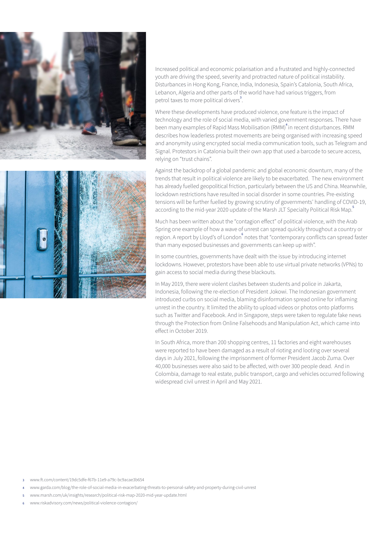



Increased political and economic polarisation and a frustrated and highly-connected youth are driving the speed, severity and protracted nature of political instability. Disturbances in Hong Kong, France, India, Indonesia, Spain's Catalonia, South Africa, Lebanon, Algeria and other parts of the world have had various triggers, from petrol taxes to more political drivers<sup>3</sup>.

Where these developments have produced violence, one feature is the impact of technology and the role of social media, with varied government responses. There have been many examples of Rapid Mass Mobilisation (RMM)<sup>4</sup> in recent disturbances. RMM describes how leaderless protest movements are being organised with increasing speed and anonymity using encrypted social media communication tools, such as Telegram and Signal. Protestors in Catalonia built their own app that used a barcode to secure access, relying on "trust chains".

Against the backdrop of a global pandemic and global economic downturn, many of the trends that result in political violence are likely to be exacerbated. The new environment has already fuelled geopolitical friction, particularly between the US and China. Meanwhile, lockdown restrictions have resulted in social disorder in some countries. Pre-existing tensions will be further fuelled by growing scrutiny of governments' handling of COVID-19, according to the mid-year 2020 update of the Marsh JLT Specialty Political Risk Map.

Much has been written about the "contagion effect" of political violence, with the Arab Spring one example of how a wave of unrest can spread quickly throughout a country or region. A report by Lloyd's of London<sup>6</sup> notes that "contemporary conflicts can spread faster than many exposed businesses and governments can keep up with".

In some countries, governments have dealt with the issue by introducing internet lockdowns. However, protestors have been able to use virtual private networks (VPNs) to gain access to social media during these blackouts.

In May 2019, there were violent clashes between students and police in Jakarta, Indonesia, following the re-election of President Jokowi. The Indonesian government introduced curbs on social media, blaming disinformation spread online for inflaming unrest in the country. It limited the ability to upload videos or photos onto platforms such as Twitter and Facebook. And in Singapore, steps were taken to regulate fake news through the Protection from Online Falsehoods and Manipulation Act, which came into effect in October 2019.

In South Africa, more than 200 shopping centres, 11 factories and eight warehouses were reported to have been damaged as a result of rioting and looting over several days in July 2021, following the imprisonment of former President Jacob Zuma. Over 40,000 businesses were also said to be affected, with over 300 people dead. And in Colombia, damage to real estate, public transport, cargo and vehicles occurred following widespread civil unrest in April and May 2021.

3 www.ft.com/content/19dc5dfe-f67b-11e9-a79c-bc9acae3b654

- 4 www.garda.com/blog/the-role-of-social-media-in-exacerbating-threats-to-personal-safety-and-property-during-civil-unrest
- 5 www.marsh.com/uk/insights/research/political-risk-map-2020-mid-year-update.html
- 6 www.riskadvisory.com/news/political-violence-contagion/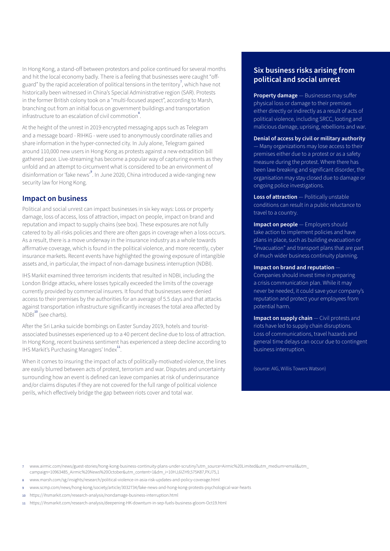In Hong Kong, a stand-off between protestors and police continued for several months and hit the local economy badly. There is a feeling that businesses were caught "offguard" by the rapid acceleration of political tensions in the territory<sup>7</sup>, which have not historically been witnessed in China's Special Administrative region (SAR). Protests in the former British colony took on a "multi-focused aspect", according to Marsh, branching out from an initial focus on government buildings and transportation infrastructure to an escalation of civil commotion<sup>8</sup>.

At the height of the unrest in 2019 encrypted messaging apps such as Telegram and a message board - RIHKG - were used to anonymously coordinate rallies and share information in the hyper-connected city. In July alone, Telegram gained around 110,000 new users in Hong Kong as protests against a new extradition bill gathered pace. Live-streaming has become a popular way of capturing events as they unfold and an attempt to circumvent what is considered to be an environment of disinformation or 'fake news'<sup>9</sup>. In June 2020, China introduced a wide-ranging new security law for Hong Kong.

### **Impact on business**

Political and social unrest can impact businesses in six key ways: Loss or property damage, loss of access, loss of attraction, impact on people, impact on brand and reputation and impact to supply chains (see box). These exposures are not fully catered to by all-risks policies and there are often gaps in coverage when a loss occurs. As a result, there is a move underway in the insurance industry as a whole towards affirmative coverage, which is found in the political violence, and more recently, cyber insurance markets. Recent events have highlighted the growing exposure of intangible assets and, in particular, the impact of non-damage business interruption (NDBI).

IHS Markit examined three terrorism incidents that resulted in NDBI, including the London Bridge attacks, where losses typically exceeded the limits of the coverage currently provided by commercial insurers. It found that businesses were denied access to their premises by the authorities for an average of 5.5 days and that attacks against transportation infrastructure significantly increases the total area affected by  $NDBI<sup>10</sup>$  (see charts).

After the Sri Lanka suicide bombings on Easter Sunday 2019, hotels and touristassociated businesses experienced up to a 40 percent decline due to loss of attraction. In Hong Kong, recent business sentiment has experienced a steep decline according to IHS Markit's Purchasing Managers' Index<sup>11</sup>.

When it comes to insuring the impact of acts of politically-motivated violence, the lines are easily blurred between acts of protest, terrorism and war. Disputes and uncertainty surrounding how an event is defined can leave companies at risk of underinsurance and/or claims disputes if they are not covered for the full range of political violence perils, which effectively bridge the gap between riots cover and total war.

## **Six business risks arising from political and social unrest**

**Property damage** — Businesses may suffer physical loss or damage to their premises either directly or indirectly as a result of acts of political violence, including SRCC, looting and malicious damage, uprising, rebellions and war.

### **Denial of access by civil or military authority**

— Many organizations may lose access to their premises either due to a protest or as a safety measure during the protest. Where there has been law-breaking and significant disorder, the organisation may stay closed due to damage or ongoing police investigations.

**Loss of attraction** — Politically unstable conditions can result in a public reluctance to travel to a country.

**Impact on people** — Employers should take action to implement policies and have plans in place, such as building evacuation or "invacuation" and transport plans that are part of much wider business continuity planning.

#### **Impact on brand and reputation** —

Companies should invest time in preparing a crisis communication plan. While it may never be needed, it could save your company's reputation and protect your employees from potential harm.

**Impact on supply chain** — Civil protests and riots have led to supply chain disruptions. Loss of communications, travel hazards and general time delays can occur due to contingent business interruption.

(source: AIG, Willis Towers Watson)

- 7 www.airmic.com/news/guest-stories/hong-kong-business-continuity-plans-under-scrutiny?utm\_source=Airmic%20Limited&utm\_medium=email&utm\_ campaign=10963485\_Airmic%20News%20October&utm\_content=1&dm\_i=10HJ,6IZH9,575K87,PXJ75,1
- 8 www.marsh.com/sg/insights/research/political-violence-in-asia-risk-updates-and-policy-coverage.html
- 9 www.scmp.com/news/hong-kong/society/article/3032734/fake-news-and-hong-kong-protests-psychological-war-hearts
- 10 https://ihsmarkit.com/research-analysis/nondamage-business-interruption.html
- 11 https://ihsmarkit.com/research-analysis/deepening-HK-downturn-in-sep-fuels-business-gloom-Oct19.html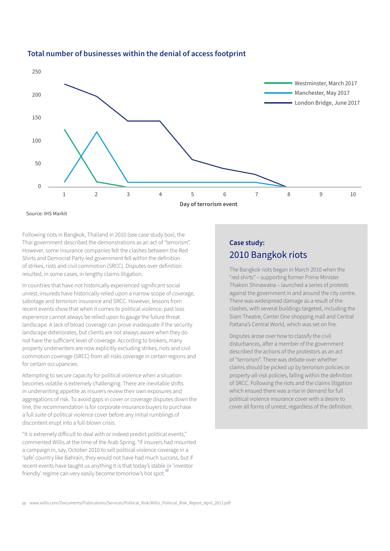

### **Total number of businesses within the denial of access footprint**

Source: IHS Markit

Following riots in Bangkok, Thailand in 2010 (see case study box), the Thai government described the demonstrations as an act of "terrorism". However, some insurance companies felt the clashes between the Red Shirts and Democrat Party-led government fell within the definition of strikes, riots and civil commotion (SRCC). Disputes over definition resulted, in some cases, in lengthy claims litigation.

In countries that have not historically experienced significant social unrest, insureds have historically relied upon a narrow scope of coverage, sabotage and terrorism insurance and SRCC. However, lessons from recent events show that when it comes to political violence, past loss experience cannot always be relied upon to gauge the future threat landscape. A lack of broad coverage can prove inadequate if the security landscape deteriorates, but clients are not always aware when they do not have the sufficient level of coverage. According to brokers, many property underwriters are now explicitly excluding strikes, riots and civil commotion coverage (SRCC) from all-risks coverage in certain regions and for certain occupancies.

Attempting to secure capacity for political violence when a situation becomes volatile is extremely challenging. There are inevitable shifts in underwriting appetite as insurers review their own exposures and aggregations of risk. To avoid gaps in cover or coverage disputes down the line, the recommendation is for corporate insurance buyers to purchase a full suite of political violence cover before any initial rumblings of discontent erupt into a full-blown crisis.

"It is extremely difficult to deal with or indeed predict political events," commented Willis at the time of the Arab Spring. "If insurers had mounted a campaign in, say, October 2010 to sell political violence coverage in a 'safe' country like Bahrain, they would not have had much success, but if recent events have taught us anything it is that today's stable or 'investor friendly' regime can very easily become tomorrow's hot spot.<sup>12</sup>

# **Case study:** 2010 Bangkok riots

The Bangkok riots began in March 2010 when the "red shirts" – supporting former Prime Minister Thaksin Shinawatra – launched a series of protests against the government in and around the city centre. There was widespread damage as a result of the clashes, with several buildings targeted, including the Siam Theatre, Center One shopping mall and Central Pattana's Central World, which was set on fire.

Disputes arose over how to classify the civil disturbances, after a member of the government described the actions of the protestors as an act of "terrorism". There was debate over whether claims should be picked up by terrorism policies or property-all-risk policies, falling within the definition of SRCC. Following the riots and the claims litigation which ensued there was a rise in demand for full political violence insurance cover with a desire to cover all forms of unrest, regardless of the definition.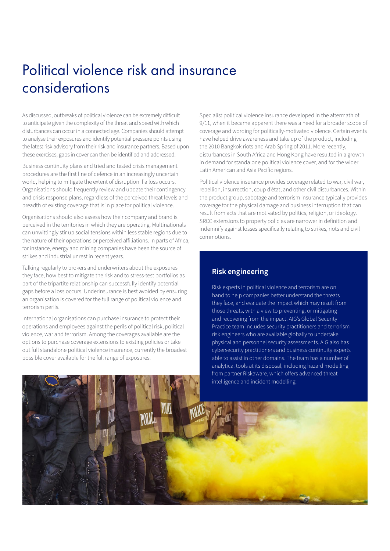# Political violence risk and insurance considerations

As discussed, outbreaks of political violence can be extremely difficult to anticipate given the complexity of the threat and speed with which disturbances can occur in a connected age. Companies should attempt to analyse their exposures and identify potential pressure points using the latest risk advisory from their risk and insurance partners. Based upon these exercises, gaps in cover can then be identified and addressed.

Business continuity plans and tried and tested crisis management procedures are the first line of defence in an increasingly uncertain world, helping to mitigate the extent of disruption if a loss occurs. Organisations should frequently review and update their contingency and crisis response plans, regardless of the perceived threat levels and breadth of existing coverage that is in place for political violence.

Organisations should also assess how their company and brand is perceived in the territories in which they are operating. Multinationals can unwittingly stir up social tensions within less stable regions due to the nature of their operations or perceived affiliations. In parts of Africa, for instance, energy and mining companies have been the source of strikes and industrial unrest in recent years.

Talking regularly to brokers and underwriters about the exposures they face, how best to mitigate the risk and to stress-test portfolios as part of the tripartite relationship can successfully identify potential gaps before a loss occurs. Underinsurance is best avoided by ensuring an organisation is covered for the full range of political violence and terrorism perils.

International organisations can purchase insurance to protect their operations and employees against the perils of political risk, political violence, war and terrorism. Among the coverages available are the options to purchase coverage extensions to existing policies or take out full standalone political violence insurance, currently the broadest possible cover available for the full range of exposures.

Specialist political violence insurance developed in the aftermath of 9/11, when it became apparent there was a need for a broader scope of coverage and wording for politically-motivated violence. Certain events have helped drive awareness and take up of the product, including the 2010 Bangkok riots and Arab Spring of 2011. More recently, disturbances in South Africa and Hong Kong have resulted in a growth in demand for standalone political violence cover, and for the wider Latin American and Asia Pacific regions.

Political violence insurance provides coverage related to war, civil war, rebellion, insurrection, coup d'état, and other civil disturbances. Within the product group, sabotage and terrorism insurance typically provides coverage for the physical damage and business interruption that can result from acts that are motivated by politics, religion, or ideology. SRCC extensions to property policies are narrower in definition and indemnify against losses specifically relating to strikes, riots and civil commotions.

## **Risk engineering**

Risk experts in political violence and terrorism are on hand to help companies better understand the threats they face, and evaluate the impact which may result from those threats, with a view to preventing, or mitigating and recovering from the impact. AIG's Global Security Practice team includes security practitioners and terrorism risk engineers who are available globally to undertake physical and personnel security assessments. AIG also has cybersecurity practitioners and business continuity experts able to assist in other domains. The team has a number of analytical tools at its disposal, including hazard modelling from partner Riskaware, which offers advanced threat intelligence and incident modelling.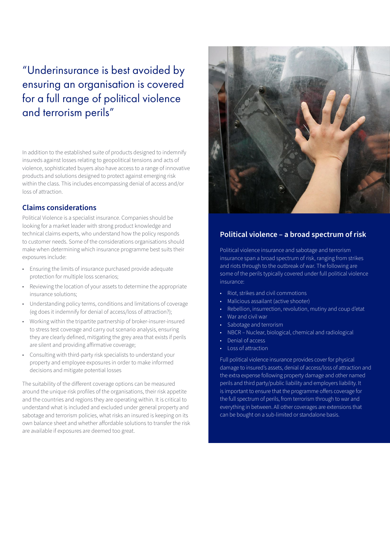# "Underinsurance is best avoided by ensuring an organisation is covered for a full range of political violence and terrorism perils"

In addition to the established suite of products designed to indemnify insureds against losses relating to geopolitical tensions and acts of violence, sophisticated buyers also have access to a range of innovative products and solutions designed to protect against emerging risk within the class. This includes encompassing denial of access and/or loss of attraction.

## **Claims considerations**

Political Violence is a specialist insurance. Companies should be looking for a market leader with strong product knowledge and technical claims experts, who understand how the policy responds to customer needs. Some of the considerations organisations should make when determining which insurance programme best suits their exposures include:

- Ensuring the limits of insurance purchased provide adequate protection for multiple loss scenarios;
- Reviewing the location of your assets to determine the appropriate insurance solutions;
- Understanding policy terms, conditions and limitations of coverage (eg does it indemnify for denial of access/loss of attraction?);
- Working within the tripartite partnership of broker-insurer-insured to stress test coverage and carry out scenario analysis, ensuring they are clearly defined, mitigating the grey area that exists if perils are silent and providing affirmative coverage;
- Consulting with third-party risk specialists to understand your property and employee exposures in order to make informed decisions and mitigate potential losses

The suitability of the different coverage options can be measured around the unique risk profiles of the organisations, their risk appetite and the countries and regions they are operating within. It is critical to understand what is included and excluded under general property and sabotage and terrorism policies, what risks an insured is keeping on its own balance sheet and whether affordable solutions to transfer the risk are available if exposures are deemed too great.



## **Political violence – a broad spectrum of risk**

Political violence insurance and sabotage and terrorism insurance span a broad spectrum of risk, ranging from strikes and riots through to the outbreak of war. The following are some of the perils typically covered under full political violence insurance:

- Riot, strikes and civil commotions
- Malicious assailant (active shooter)
- Rebellion, insurrection, revolution, mutiny and coup d'etat
- War and civil war
- Sabotage and terrorism
- NBCR Nuclear, biological, chemical and radiological
- Denial of access
- Loss of attraction

Full political violence insurance provides cover for physical damage to insured's assets, denial of access/loss of attraction and the extra expense following property damage and other named perils and third party/public liability and employers liability. It is important to ensure that the programme offers coverage for the full spectrum of perils, from terrorism through to war and everything in between. All other coverages are extensions that can be bought on a sub-limited or standalone basis.